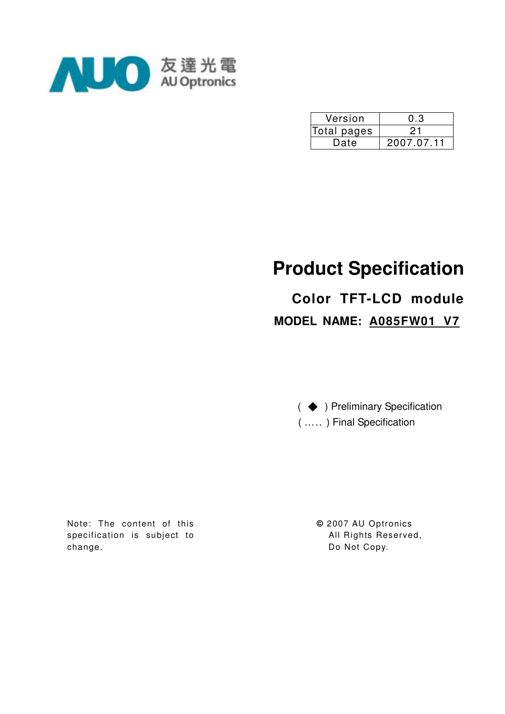

| Version     | 0.3        |
|-------------|------------|
| Total pages |            |
| Date        | 2007.07.11 |

# **Product Specification**

# **Color TFT-LCD module MODEL NAME: A085FW01 V7**

( ◆ ) Preliminary Specification ( ….. ) Final Specification

Note: The content of this specification is subject to change.

**©** 2007 AU Optronics All Rights Reserved, Do Not Copy.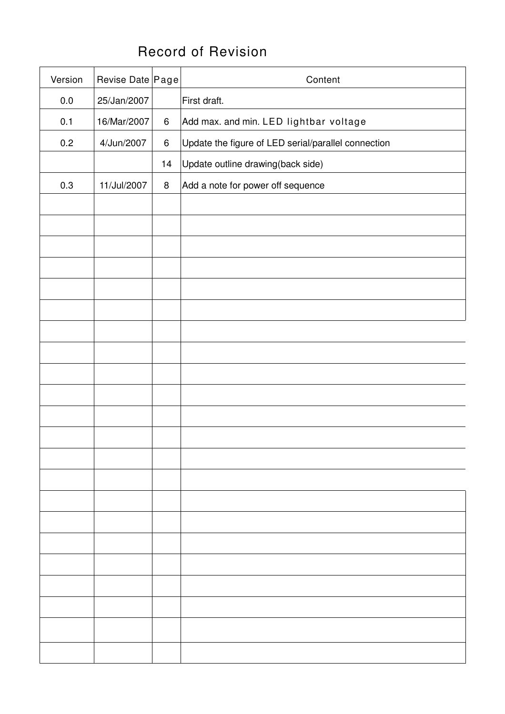# Record of Revision

| Version | Revise Date Page |         | Content                                             |  |  |
|---------|------------------|---------|-----------------------------------------------------|--|--|
| $0.0\,$ | 25/Jan/2007      |         | First draft.                                        |  |  |
| 0.1     | 16/Mar/2007      | $\,6\,$ | Add max. and min. LED lightbar voltage              |  |  |
| 0.2     | 4/Jun/2007       | $\,6\,$ | Update the figure of LED serial/parallel connection |  |  |
|         |                  | 14      | Update outline drawing(back side)                   |  |  |
| 0.3     | 11/Jul/2007      | $\bf 8$ | Add a note for power off sequence                   |  |  |
|         |                  |         |                                                     |  |  |
|         |                  |         |                                                     |  |  |
|         |                  |         |                                                     |  |  |
|         |                  |         |                                                     |  |  |
|         |                  |         |                                                     |  |  |
|         |                  |         |                                                     |  |  |
|         |                  |         |                                                     |  |  |
|         |                  |         |                                                     |  |  |
|         |                  |         |                                                     |  |  |
|         |                  |         |                                                     |  |  |
|         |                  |         |                                                     |  |  |
|         |                  |         |                                                     |  |  |
|         |                  |         |                                                     |  |  |
|         |                  |         |                                                     |  |  |
|         |                  |         |                                                     |  |  |
|         |                  |         |                                                     |  |  |
|         |                  |         |                                                     |  |  |
|         |                  |         |                                                     |  |  |
|         |                  |         |                                                     |  |  |
|         |                  |         |                                                     |  |  |
|         |                  |         |                                                     |  |  |
|         |                  |         |                                                     |  |  |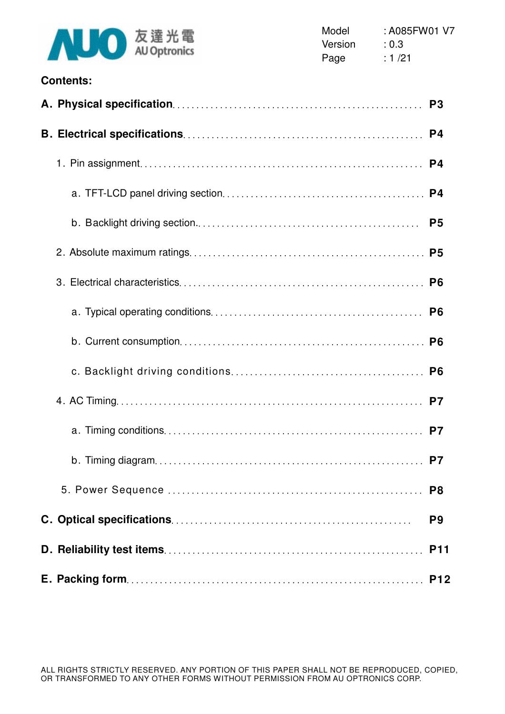

| <b>Contents:</b> |                |
|------------------|----------------|
|                  | P <sub>3</sub> |
|                  | P <sub>4</sub> |
|                  | P4             |
|                  | P <sub>4</sub> |
|                  | P <sub>5</sub> |
|                  |                |
|                  | P <sub>6</sub> |
|                  | P <sub>6</sub> |
|                  |                |
|                  | P <sub>6</sub> |
|                  |                |
|                  | P7             |
|                  |                |
|                  | P <sub>8</sub> |
|                  | P <sub>9</sub> |
|                  | <b>P11</b>     |
|                  | <b>P12</b>     |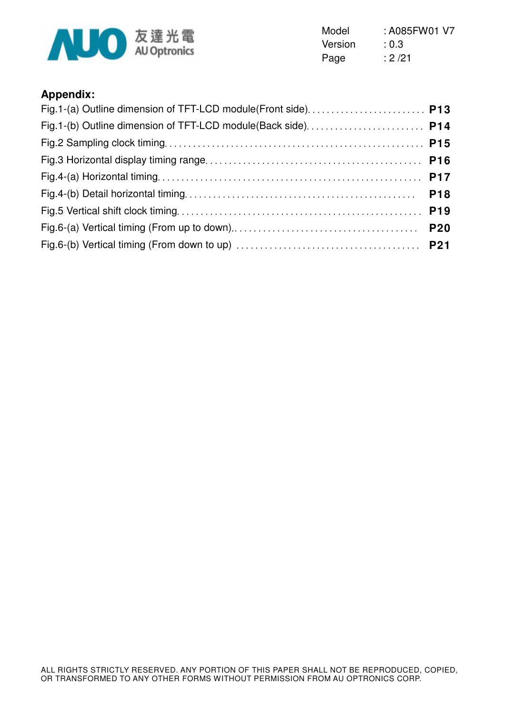

Model : A085FW01 V7 Version : 0.3 Page : 2/21

## **Appendix:**

| Fig.1-(a) Outline dimension of TFT-LCD module(Front side) P13 |  |
|---------------------------------------------------------------|--|
|                                                               |  |
|                                                               |  |
|                                                               |  |
|                                                               |  |
|                                                               |  |
|                                                               |  |
|                                                               |  |
|                                                               |  |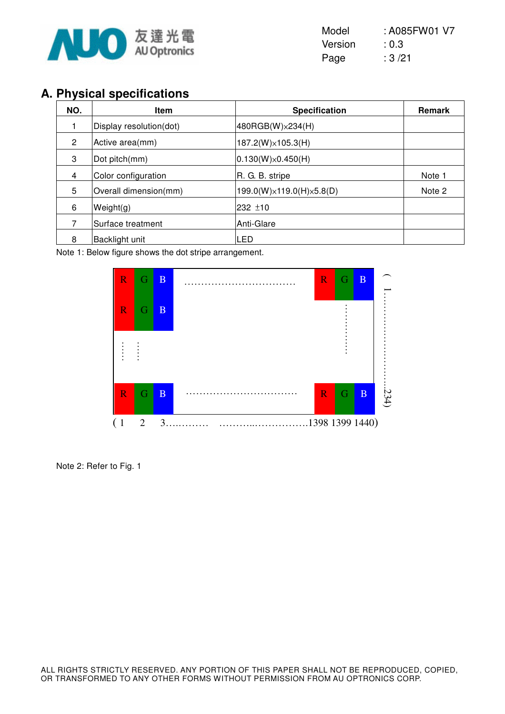

| Model   | : A085FW01 V7 |
|---------|---------------|
| Version | : 0.3         |
| Page    | :3/21         |

# **A. Physical specifications**

| NO. | <b>Item</b>             | <b>Specification</b>        | <b>Remark</b> |
|-----|-------------------------|-----------------------------|---------------|
|     | Display resolution(dot) | 480RGB(W) × 234(H)          |               |
| 2   | Active area(mm)         | $187.2(W)\times 105.3(H)$   |               |
| 3   | Dot pitch(mm)           | $ 0.130(W)\times 0.450(H) $ |               |
| 4   | Color configuration     | R. G. B. stripe             | Note 1        |
| 5   | Overall dimension(mm)   | 199.0(W)×119.0(H)×5.8(D)    | Note 2        |
| 6   | Weight(g)               | 232 ±10                     |               |
|     | Surface treatment       | Anti-Glare                  |               |
| 8   | Backlight unit          | <b>LED</b>                  |               |

Note 1: Below figure shows the dot stripe arrangement.



Note 2: Refer to Fig. 1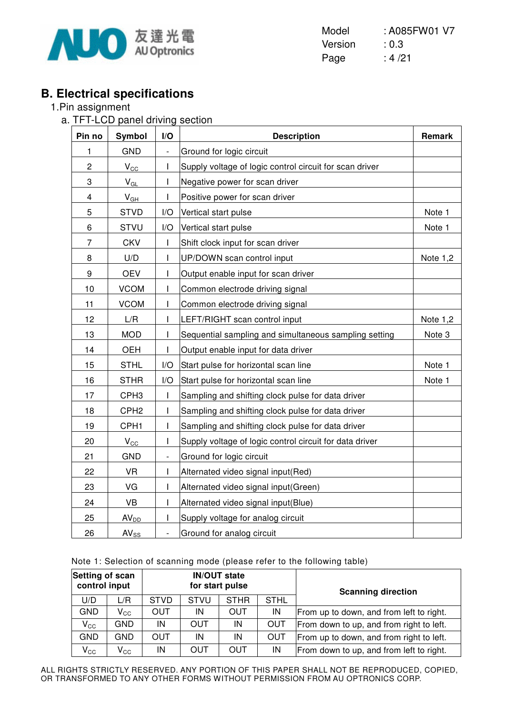

Model : A085FW01 V7 Version : 0.3 Page : 4/21

# **B. Electrical specifications**

#### 1.Pin assignment

a. TFT-LCD panel driving section

| Pin no         | Symbol               | I/O                      | <b>Description</b>                                      | Remark     |
|----------------|----------------------|--------------------------|---------------------------------------------------------|------------|
| 1              | <b>GND</b>           |                          | Ground for logic circuit                                |            |
| $\overline{c}$ | $V_{\underline{CC}}$ | ı                        | Supply voltage of logic control circuit for scan driver |            |
| 3              | $V_{GL}$             | I                        | Negative power for scan driver                          |            |
| 4              | $V_{GH}$             |                          | Positive power for scan driver                          |            |
| 5              | <b>STVD</b>          | I/O                      | Vertical start pulse                                    | Note 1     |
| 6              | <b>STVU</b>          | I/O                      | Vertical start pulse                                    | Note 1     |
| $\overline{7}$ | <b>CKV</b>           | I                        | Shift clock input for scan driver                       |            |
| 8              | U/D                  | I                        | UP/DOWN scan control input                              | Note $1,2$ |
| 9              | <b>OEV</b>           | I                        | Output enable input for scan driver                     |            |
| 10             | <b>VCOM</b>          | I                        | Common electrode driving signal                         |            |
| 11             | <b>VCOM</b>          | $\mathsf{l}$             | Common electrode driving signal                         |            |
| 12             | L/R                  | ı                        | LEFT/RIGHT scan control input                           | Note 1,2   |
| 13             | <b>MOD</b>           | ı                        | Sequential sampling and simultaneous sampling setting   | Note 3     |
| 14             | <b>OEH</b>           | I                        | Output enable input for data driver                     |            |
| 15             | <b>STHL</b>          | I/O                      | Start pulse for horizontal scan line                    | Note 1     |
| 16             | <b>STHR</b>          | I/O                      | Start pulse for horizontal scan line                    | Note 1     |
| 17             | CPH <sub>3</sub>     |                          | Sampling and shifting clock pulse for data driver       |            |
| 18             | CPH <sub>2</sub>     |                          | Sampling and shifting clock pulse for data driver       |            |
| 19             | CPH <sub>1</sub>     | $\mathsf{l}$             | Sampling and shifting clock pulse for data driver       |            |
| 20             | $V_{\rm CC}$         | I                        | Supply voltage of logic control circuit for data driver |            |
| 21             | <b>GND</b>           | $\overline{\phantom{0}}$ | Ground for logic circuit                                |            |
| 22             | <b>VR</b>            | I                        | Alternated video signal input(Red)                      |            |
| 23             | VG                   | ı                        | Alternated video signal input(Green)                    |            |
| 24             | <b>VB</b>            | I                        | Alternated video signal input(Blue)                     |            |
| 25             | AV <sub>DD</sub>     | I                        | Supply voltage for analog circuit                       |            |
| 26             | $AV_{SS}$            | -                        | Ground for analog circuit                               |            |

|  | Note 1: Selection of scanning mode (please refer to the following table) |  |  |  |
|--|--------------------------------------------------------------------------|--|--|--|
|  |                                                                          |  |  |  |

| Setting of scan<br><b>IN/OUT state</b><br>control input<br>for start pulse |                            |             | <b>Scanning direction</b>                 |     |            |                                          |
|----------------------------------------------------------------------------|----------------------------|-------------|-------------------------------------------|-----|------------|------------------------------------------|
| U/D                                                                        | L/R                        | <b>STVD</b> | <b>STVU</b><br><b>STHR</b><br><b>STHL</b> |     |            |                                          |
| <b>GND</b>                                                                 | $\mathsf{V}_{\mathsf{CC}}$ | <b>OUT</b>  | IN                                        | OUT | IN         | From up to down, and from left to right. |
| $V_{\rm CC}$                                                               | <b>GND</b>                 | IN          | <b>OUT</b>                                | IN  | <b>OUT</b> | From down to up, and from right to left. |
| <b>GND</b>                                                                 | GND                        | <b>OUT</b>  | IN                                        | IN  | <b>OUT</b> | From up to down, and from right to left. |
| $V_{\rm CC}$                                                               | $\mathsf{V}_{\mathsf{CC}}$ | IN          | OUT                                       | OUT | IN         | From down to up, and from left to right. |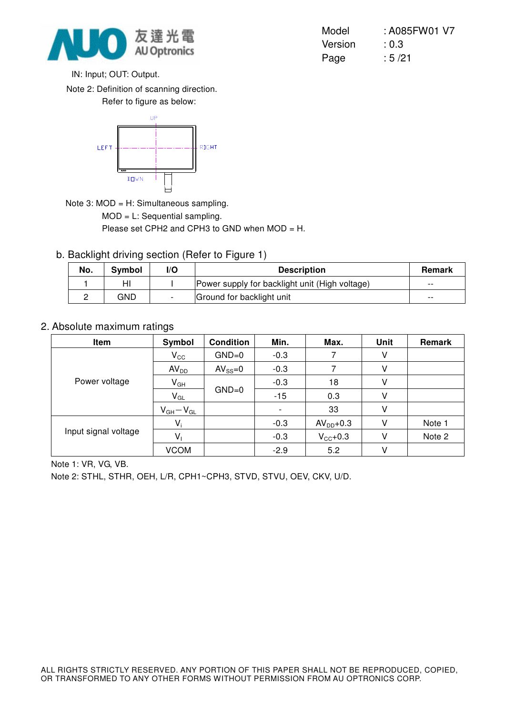

Version : 0.3 Page : 5/21

Model : A085FW01 V7

IN: Input; OUT: Output.

Note 2: Definition of scanning direction.

Refer to figure as below:



Note 3: MOD = H: Simultaneous sampling.

MOD = L: Sequential sampling.

Please set CPH2 and CPH3 to GND when MOD = H.

b. Backlight driving section (Refer to Figure 1)

| No. | Symbol | l/O | <b>Description</b>                             |       |
|-----|--------|-----|------------------------------------------------|-------|
|     |        |     | Power supply for backlight unit (High voltage) | $- -$ |
|     | GND    |     | Ground for backlight unit                      | $- -$ |

#### 2. Absolute maximum ratings

| Item                 | Symbol           | <b>Condition</b> | Min.   | Max.                | Unit | Remark |
|----------------------|------------------|------------------|--------|---------------------|------|--------|
|                      | $V_{\rm CC}$     | $GND=0$          | $-0.3$ |                     | V    |        |
|                      | AV <sub>DD</sub> | $AV_{SS}=0$      | $-0.3$ |                     | V    |        |
| Power voltage        | $V_{GH}$         |                  | $-0.3$ | 18                  | V    |        |
|                      | $V_{GL}$         | $GND=0$          | $-15$  | 0.3                 | V    |        |
|                      | $V_{GH}-V_{GL}$  |                  |        | 33                  | V    |        |
|                      | $V_i$            |                  | $-0.3$ | $AVDD+0.3$          | V    | Note 1 |
| Input signal voltage | $V_{1}$          |                  | $-0.3$ | $V_{\text{CC}}+0.3$ | V    | Note 2 |
|                      | <b>VCOM</b>      |                  | $-2.9$ | 5.2                 | ٧    |        |

Note 1: VR, VG, VB.

Note 2: STHL, STHR, OEH, L/R, CPH1~CPH3, STVD, STVU, OEV, CKV, U/D.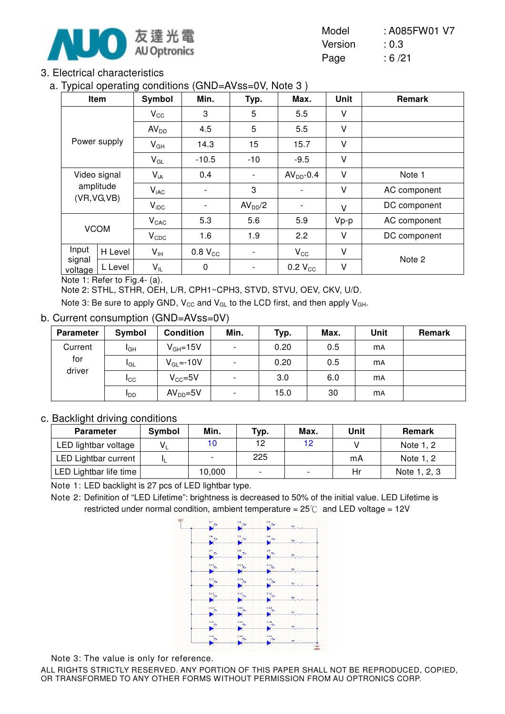

| Model   | : A085FW01 V7 |
|---------|---------------|
| Version | : 0.3         |
| Page    | :6/21         |

#### 3. Electrical characteristics

a. Typical operating conditions (GND=AVss=0V, Note 3 )

| . .               | Item         | ັ<br>Symbol      | Min.                     | Typ.                | Max.                     | <b>Unit</b> | Remark       |
|-------------------|--------------|------------------|--------------------------|---------------------|--------------------------|-------------|--------------|
|                   |              | $V_{\rm CC}$     | 3                        | 5                   | 5.5                      | V           |              |
|                   |              | AV <sub>DD</sub> | 4.5                      | 5                   | 5.5                      | V           |              |
|                   | Power supply | $V_{GH}$         | 14.3                     | 15                  | 15.7                     | V           |              |
|                   |              | $V_{GL}$         | $-10.5$                  | $-10$               | $-9.5$                   | $\vee$      |              |
|                   | Video signal | $V_{iA}$         | 0.4                      |                     | $AVDD-0.4$               | $\vee$      | Note 1       |
|                   | amplitude    | $V_{iAC}$        |                          | 3                   |                          | $\vee$      | AC component |
|                   | (VR, VG, VB) | $V_{\text{IDC}}$ | $\overline{\phantom{a}}$ | AV <sub>DD</sub> /2 | $\overline{\phantom{a}}$ | $\vee$      | DC component |
|                   |              | $V_{CAC}$        | 5.3                      | 5.6                 | 5.9                      | $Vp-p$      | AC component |
|                   | <b>VCOM</b>  | $V_{CDC}$        | 1.6                      | 1.9                 | 2.2                      | V           | DC component |
| Input             | H Level      | $V_{\text{IH}}$  | $0.8 V_{CC}$             |                     | $V_{\rm CC}$             | $\vee$      |              |
| signal<br>voltage | L Level      | $V_{IL}$         | $\pmb{0}$                | -                   | $0.2 V_{CC}$             | V           | Note 2       |

Note 1: Refer to Fig.4- (a).

Note 2: STHL, STHR, OEH, L/R, CPH1~CPH3, STVD, STVU, OEV, CKV, U/D.

Note 3: Be sure to apply GND,  $V_{CC}$  and  $V_{GL}$  to the LCD first, and then apply  $V_{GH}$ .

#### b. Current consumption (GND=AVss=0V)

| <b>Parameter</b> | Symbol                 | <b>Condition</b> | Min.                     | Typ. | Max. | Unit      | Remark |
|------------------|------------------------|------------------|--------------------------|------|------|-----------|--------|
| Current          | I <sub>GH</sub>        | $V_{GH} = 15V$   | $\overline{\phantom{a}}$ | 0.20 | 0.5  | <b>MA</b> |        |
| for              | <b>I</b> GL            | $V_{GL} = -10V$  | $\overline{\phantom{0}}$ | 0.20 | 0.5  | <b>mA</b> |        |
| driver           | <b>I</b> CC            | $V_{CC} = 5V$    | $\overline{\phantom{a}}$ | 3.0  | 6.0  | <b>mA</b> |        |
|                  | <b>I</b> <sub>DD</sub> | $AVDD=5V$        | $\overline{\phantom{0}}$ | 15.0 | 30   | <b>MA</b> |        |

#### c. Backlight driving conditions

| <b>Parameter</b>            | Symbol | Min.   | Typ. | Max. | Unit | <b>Remark</b> |
|-----------------------------|--------|--------|------|------|------|---------------|
| LED lightbar voltage        |        | 10     | 12   | 12   |      | Note 1, 2     |
| <b>LED Lightbar current</b> |        |        | 225  |      | mA   | Note 1, 2     |
| LED Lightbar life time      |        | 10,000 |      |      | Hr   | Note 1, 2, 3  |

Note 1: LED backlight is 27 pcs of LED lightbar type.

Note 2: Definition of "LED Lifetime": brightness is decreased to 50% of the initial value. LED Lifetime is restricted under normal condition, ambient temperature =  $25^{\circ}$  and LED voltage =  $12V$ 



Note 3: The value is only for reference.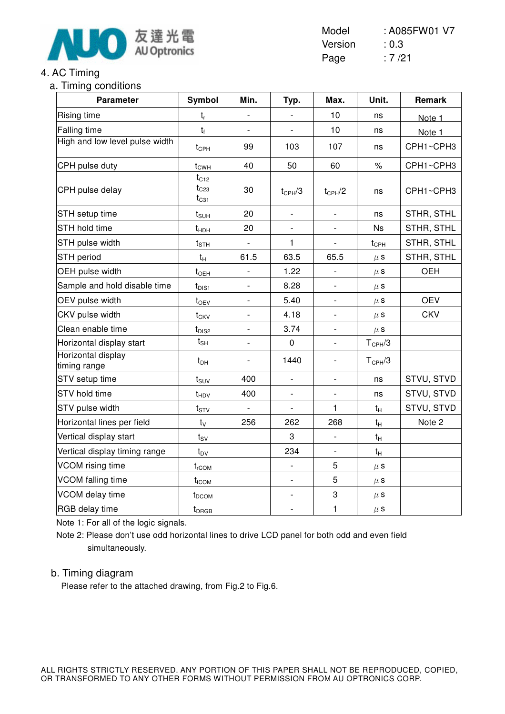

### 4. AC Timing

#### a. Timing conditions

| $1111111119$ vortalitions<br><b>Parameter</b> | Symbol                              | Min.                     | Typ.                     | Max.                     | Unit.              | Remark     |
|-----------------------------------------------|-------------------------------------|--------------------------|--------------------------|--------------------------|--------------------|------------|
| <b>Rising time</b>                            | $t_{r}$                             |                          |                          | 10                       | ns                 | Note 1     |
| Falling time                                  | $t_{f}$                             | $\overline{\phantom{a}}$ |                          | 10                       | ns                 | Note 1     |
| High and low level pulse width                | $t_{\text{CPH}}$                    | 99                       | 103                      | 107                      | ns                 | CPH1~CPH3  |
| CPH pulse duty                                | $t_{CWH}$                           | 40                       | 50                       | 60                       | $\%$               | CPH1~CPH3  |
| CPH pulse delay                               | $t_{C12}$<br>$t_{C23}$<br>$t_{C31}$ | 30                       | $t_{\rm CPH}/3$          | $t_{CPH}/2$              | ns                 | CPH1~CPH3  |
| STH setup time                                | $t_{\text{SUH}}$                    | 20                       |                          |                          | ns                 | STHR, STHL |
| STH hold time                                 | $t_{HDH}$                           | 20                       |                          |                          | <b>Ns</b>          | STHR, STHL |
| STH pulse width                               | $t_{\scriptstyle\text{STH}}$        |                          | 1                        |                          | $t_{\text{CPH}}$   | STHR, STHL |
| STH period                                    | $t_{H}$                             | 61.5                     | 63.5                     | 65.5                     | $\mu$ S            | STHR, STHL |
| OEH pulse width                               | $t_{\text{OEH}}$                    |                          | 1.22                     |                          | $\mu$ S            | OEH        |
| Sample and hold disable time                  | $t_{\text{DIS1}}$                   | $\blacksquare$           | 8.28                     | $\blacksquare$           | $\mu$ s            |            |
| OEV pulse width                               | $t_{OEV}$                           |                          | 5.40                     |                          | $\mu$ s            | <b>OEV</b> |
| CKV pulse width                               | $t_{CKV}$                           | $\blacksquare$           | 4.18                     | $\overline{\phantom{a}}$ | $\mu$ S            | <b>CKV</b> |
| Clean enable time                             | $t_{DIS2}$                          | $\overline{\phantom{a}}$ | 3.74                     |                          | $\mu$ s            |            |
| Horizontal display start                      | $t_{\sf SH}$                        | $\blacksquare$           | $\mathbf 0$              | $\blacksquare$           | $T_{\text{CPH}}/3$ |            |
| Horizontal display<br>timing range            | $t_{DH}$                            | $\overline{\phantom{0}}$ | 1440                     |                          | $T_{\text{CPH}}/3$ |            |
| STV setup time                                | $t_{\scriptstyle\text{SUV}}$        | 400                      | $\overline{\phantom{0}}$ | $\frac{1}{2}$            | ns                 | STVU, STVD |
| STV hold time                                 | $t_{HDV}$                           | 400                      | $\frac{1}{2}$            |                          | ns                 | STVU, STVD |
| STV pulse width                               | $t_{STV}$                           | $\overline{\phantom{a}}$ | $\blacksquare$           | 1                        | $t_H$              | STVU, STVD |
| Horizontal lines per field                    | $t_v$                               | 256                      | 262                      | 268                      | $t_H$              | Note 2     |
| Vertical display start                        | $t_{SV}$                            |                          | 3                        |                          | $t_H$              |            |
| Vertical display timing range                 | $t_{\text{DV}}$                     |                          | 234                      |                          | $t_H$              |            |
| VCOM rising time                              | $t_{rCOM}$                          |                          | $\frac{1}{2}$            | 5                        | $\mu$ s            |            |
| VCOM falling time                             | $t_{fCOM}$                          |                          | $\qquad \qquad -$        | 5                        | $\mu$ s            |            |
| VCOM delay time                               | $t_{DCOM}$                          |                          | $\qquad \qquad -$        | 3                        | $\mu$ s            |            |
| RGB delay time                                | $t_{DRGB}$                          |                          | $\overline{\phantom{a}}$ | 1                        | $\mu$ s            |            |

Note 1: For all of the logic signals.

Note 2: Please don't use odd horizontal lines to drive LCD panel for both odd and even field simultaneously.

#### b. Timing diagram

Please refer to the attached drawing, from Fig.2 to Fig.6.

Model : A085FW01 V7 Version : 0.3 Page : 7/21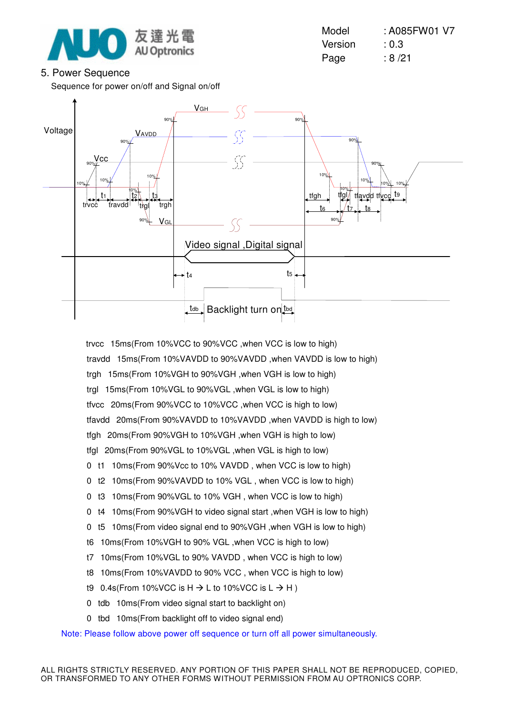

#### 5. Power Sequence

Sequence for power on/off and Signal on/off

Model : A085FW01 V7 Version : 0.3 Page : 8/21



 trvcc15ms(From 10%VCC to 90%VCC ,when VCC is low to high) travdd 15ms(From 10%VAVDD to 90%VAVDD, when VAVDD is low to high) trgh 15ms(From 10%VGH to 90%VGH ,when VGH is low to high) trgl 15ms(From 10%VGL to 90%VGL ,when VGL is low to high) tfvcc20ms(From 90%VCC to 10%VCC ,when VCC is high to low) tfavdd 20ms(From 90%VAVDD to 10%VAVDD, when VAVDD is high to low) tfgh 20ms(From 90%VGH to 10%VGH ,when VGH is high to low) tfal 20ms(From 90%VGL to 10%VGL , when VGL is high to low)

- 0 t1 10ms(From 90%Vcc to 10% VAVDD, when VCC is low to high)
- 0 t2 10ms(From 90%VAVDD to 10% VGL, when VCC is low to high)
- 0 t3 10ms(From 90%VGL to 10% VGH, when VCC is low to high)
- 0 t4 10ms(From 90%VGH to video signal start , when VGH is low to high)
- 0 t5 10ms(From video signal end to 90%VGH , when VGH is low to high)
- t6 10ms(From 10%VGH to 90% VGL ,when VCC is high to low)
- t7 10ms(From 10%VGL to 90% VAVDD, when VCC is high to low)
- t8 10ms(From 10%VAVDD to 90% VCC, when VCC is high to low)
- t9 0.4s(From 10%VCC is H  $\rightarrow$  L to 10%VCC is L  $\rightarrow$  H )
- 0 tdb 10ms(From video signal start to backlight on)
- 0 tbd 10ms(From backlight off to video signal end)

Note: Please follow above power off sequence or turn off all power simultaneously.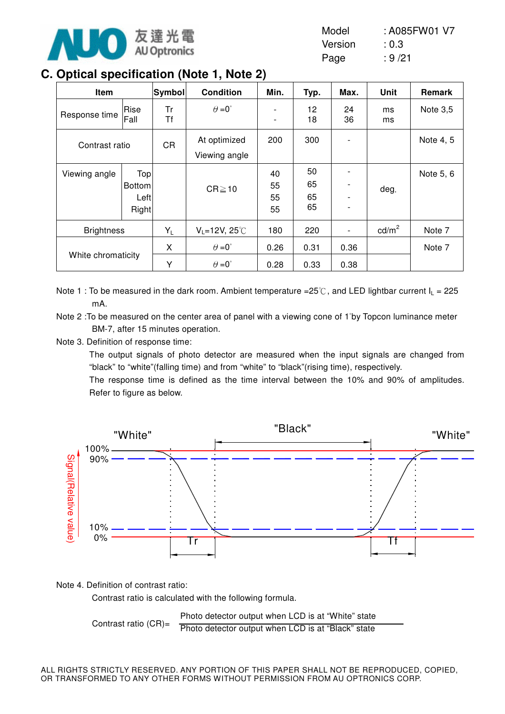

| Model   | : A085FW01 V7 |
|---------|---------------|
| Version | : 0.3         |
| Page    | : 9/21        |

# **C. Optical specification (Note 1, Note 2)**

| Item               |                                        | Symbol    | <b>Condition</b>                             | Min.                                                 | Typ.                 | Max.         | <b>Unit</b>     | Remark    |
|--------------------|----------------------------------------|-----------|----------------------------------------------|------------------------------------------------------|----------------------|--------------|-----------------|-----------|
| Response time      | Rise<br>Fall                           | Tr<br>Τf  | $\theta = 0^{\circ}$                         | $\overline{\phantom{a}}$<br>$\overline{\phantom{a}}$ | 12<br>18             | 24<br>36     | ms<br>ms        | Note 3,5  |
| Contrast ratio     |                                        | <b>CR</b> | At optimized<br>Viewing angle                | 200                                                  | 300                  |              |                 | Note 4, 5 |
| Viewing angle      | Top<br><b>Bottom</b><br>Leftl<br>Right |           | $CR \ge 10$                                  | 40<br>55<br>55<br>55                                 | 50<br>65<br>65<br>65 |              | deg.            | Note 5, 6 |
| <b>Brightness</b>  |                                        | $Y_L$     | $V_L = 12V$ , 25°C                           | 180                                                  | 220                  |              | $\text{cd/m}^2$ | Note 7    |
| White chromaticity |                                        | X<br>Υ    | $\theta = 0^{\circ}$<br>$\theta = 0^{\circ}$ | 0.26<br>0.28                                         | 0.31<br>0.33         | 0.36<br>0.38 |                 | Note 7    |

Note 1 : To be measured in the dark room. Ambient temperature =25°C, and LED lightbar current  $I_1$  = 225 mA.

Note 2 : To be measured on the center area of panel with a viewing cone of 1<sup>°</sup>by Topcon luminance meter BM-7, after 15 minutes operation.

Note 3. Definition of response time:

The output signals of photo detector are measured when the input signals are changed from "black" to "white"(falling time) and from "white" to "black"(rising time), respectively.

The response time is defined as the time interval between the 10% and 90% of amplitudes. Refer to figure as below.



Note 4. Definition of contrast ratio:

Contrast ratio is calculated with the following formula.

Contrast ratio (CR)= Photo detector output when LCD is at "White" state Photo detector output when LCD is at "Black" state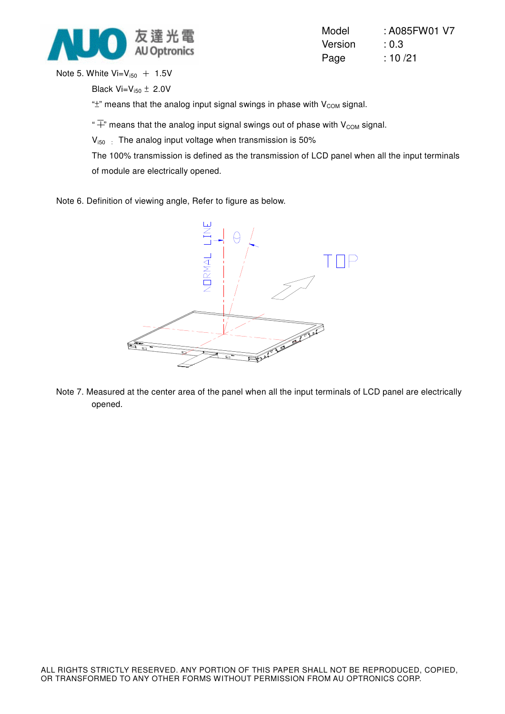

| Model   | : A085FW01 V7 |
|---------|---------------|
| Version | : 0.3         |
| Page    | : 10/21       |

Note 5. White  $Vi=V_{i50}$  + 1.5V

Black  $Vi=V_{150} \pm 2.0V$ 

" $\pm$ " means that the analog input signal swings in phase with  $V_{COM}$  signal.

" $\overline{+}$ " means that the analog input signal swings out of phase with V<sub>COM</sub> signal.

 $V_{150}$ : The analog input voltage when transmission is 50%

The 100% transmission is defined as the transmission of LCD panel when all the input terminals of module are electrically opened.

Note 6. Definition of viewing angle, Refer to figure as below.



Note 7. Measured at the center area of the panel when all the input terminals of LCD panel are electrically opened.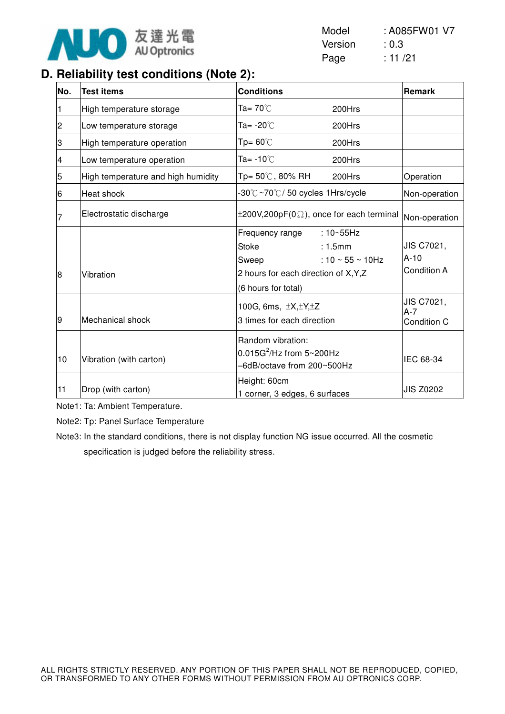

| Model   | : A085FW01 V7 |
|---------|---------------|
| Version | : 0.3         |
| Page    | : 11 / 21     |

## **D. Reliability test conditions (Note 2):**

| No.            | <b>Test items</b>                  | <b>Conditions</b>                                                                                                                                                   | Remark                                     |
|----------------|------------------------------------|---------------------------------------------------------------------------------------------------------------------------------------------------------------------|--------------------------------------------|
|                | High temperature storage           | Ta= 70 $°C$<br>200Hrs                                                                                                                                               |                                            |
| $\overline{c}$ | Low temperature storage            | Ta= -20℃<br>200Hrs                                                                                                                                                  |                                            |
| З              | High temperature operation         | $Tp = 60^{\circ}$<br>200Hrs                                                                                                                                         |                                            |
| 4              | Low temperature operation          | Ta= $-10^{\circ}$ C<br>200Hrs                                                                                                                                       |                                            |
| 5              | High temperature and high humidity | $Tp = 50^{\circ}$ C, 80% RH<br>200Hrs                                                                                                                               | Operation                                  |
| 6              | Heat shock                         | -30℃~70℃/50 cycles 1Hrs/cycle                                                                                                                                       | Non-operation                              |
| 7              | Electrostatic discharge            | $\pm 200V, 200pF(0\Omega)$ , once for each terminal                                                                                                                 | Non-operation                              |
| 8              | Vibration                          | $: 10 - 55$ Hz<br>Frequency range<br><b>Stoke</b><br>: 1.5mm<br>: 10 $\sim$ 55 $\sim$ 10Hz<br>Sweep<br>2 hours for each direction of X, Y, Z<br>(6 hours for total) | JIS C7021,<br>$A-10$<br><b>Condition A</b> |
| 9              | Mechanical shock                   | 100G, 6ms, $\pm X, \pm Y, \pm Z$<br>3 times for each direction                                                                                                      | JIS C7021,<br>$A-7$<br>Condition C         |
| 10             | Vibration (with carton)            | Random vibration:<br>$0.015G^2$ /Hz from $5 \sim 200Hz$<br>-6dB/octave from 200~500Hz                                                                               | IEC 68-34                                  |
| 11             | Drop (with carton)                 | Height: 60cm<br>1 corner, 3 edges, 6 surfaces                                                                                                                       | <b>JIS Z0202</b>                           |

Note1: Ta: Ambient Temperature.

Note2: Tp: Panel Surface Temperature

Note3: In the standard conditions, there is not display function NG issue occurred. All the cosmetic specification is judged before the reliability stress.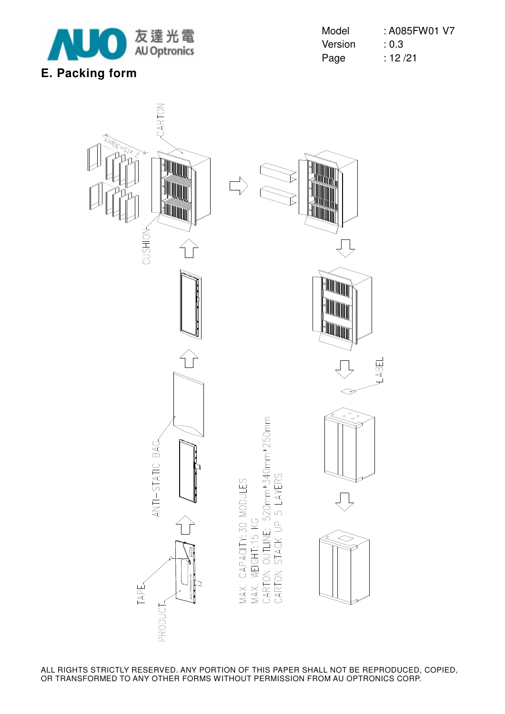

| Model   | : A085FW01 V7 |
|---------|---------------|
| Version | : 0.3         |
| Page    | : 12/21       |

ABEL

# CARTON TIIN CUSHION

ANTI-STATIC BAG

TAPE

**PRODUCT** 

í

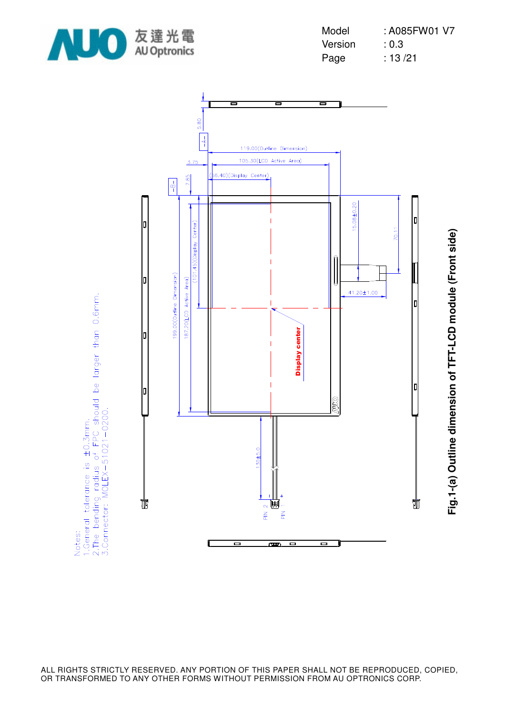





**Fig.1-(a) Outline dimension of TFT-LCD module (Front side)** Fig.1-(a) Outline dimension of TFT-LCD module (Front side)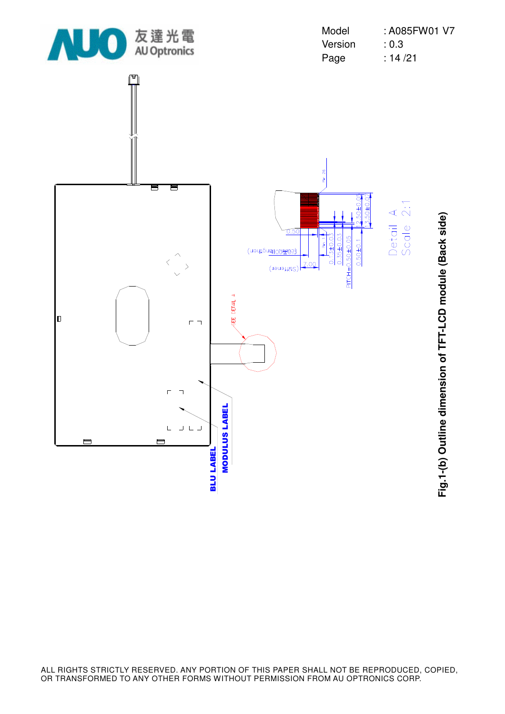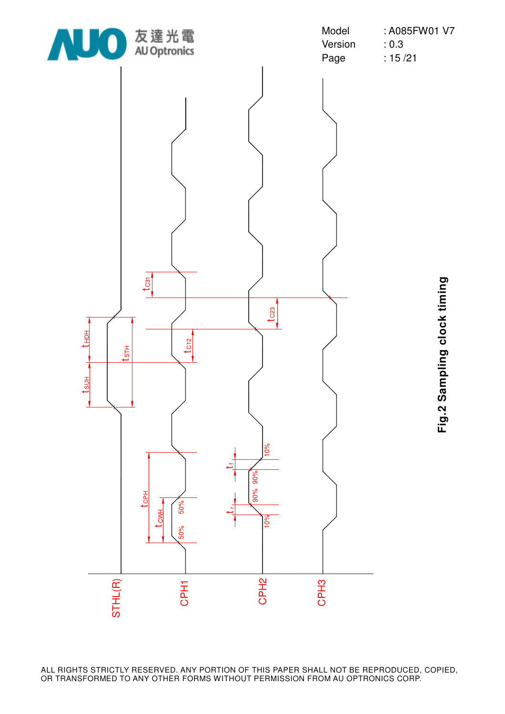

Version : 0.3 Page : 15/21

Model : A085FW01 V7

**Fig.2 Sampling clock timing** Fig.2 Sampling clock timing

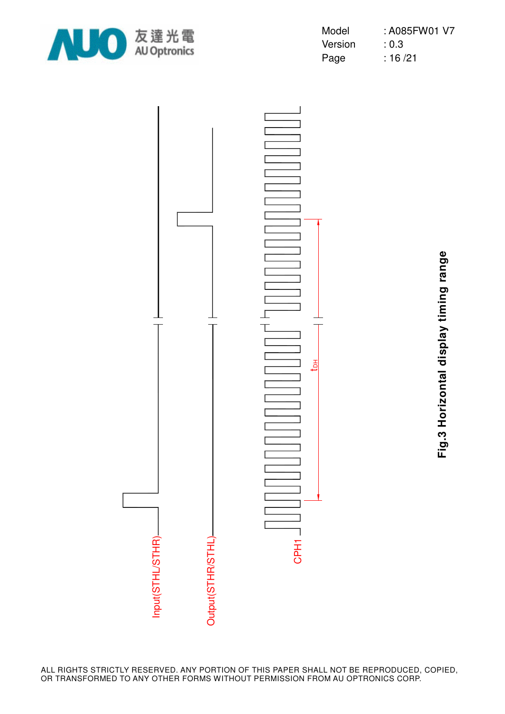

| Model   | : A085FW01 V7 |
|---------|---------------|
| Version | : 0.3         |
| Page    | : 16/21       |



**Fig.3 Horizontal display timing range** Fig.3 Horizontal display timing range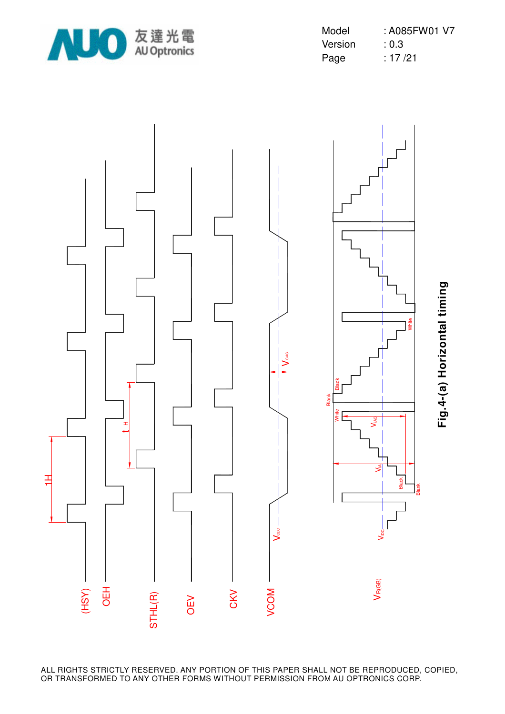

| Model   | : A085FW01 V7 |
|---------|---------------|
| Version | : 0.3         |
| Page    | : 17 /21      |

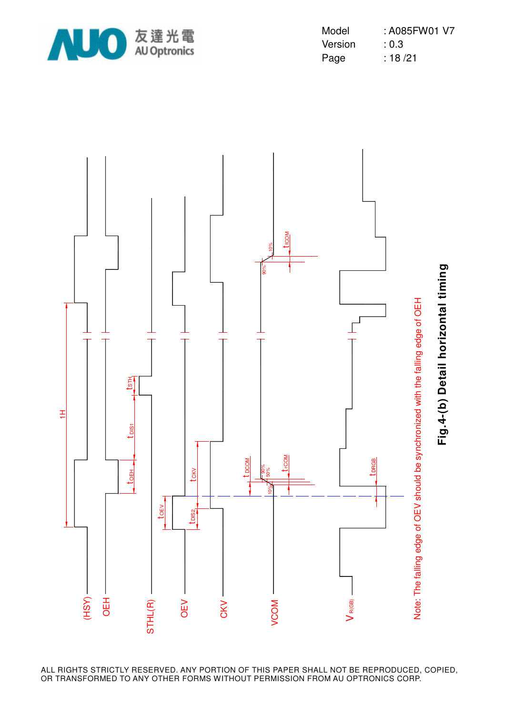

| Model   | : A085FW01 V7 |
|---------|---------------|
| Version | : 0.3         |
| Page    | : 18/21       |

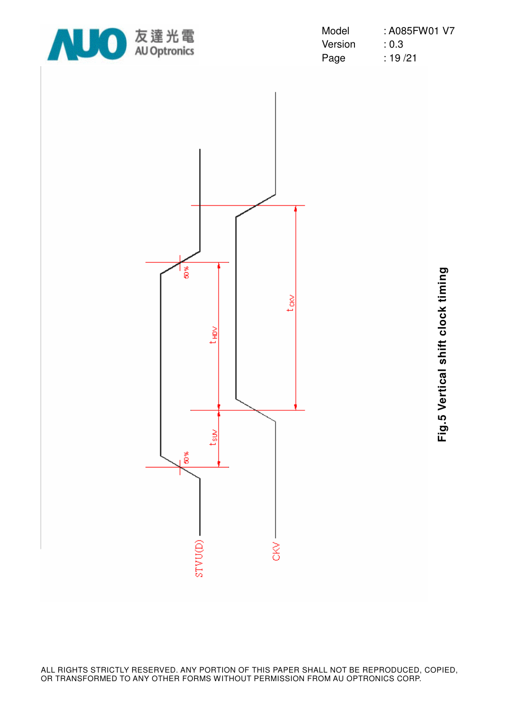

| Model   | : A085FW01 V7 |
|---------|---------------|
| Version | : 0.3         |
| Page    | : 19 /21      |



**Fig.5 Vertical shift clock timing** Fig.5 Vertical shift clock timing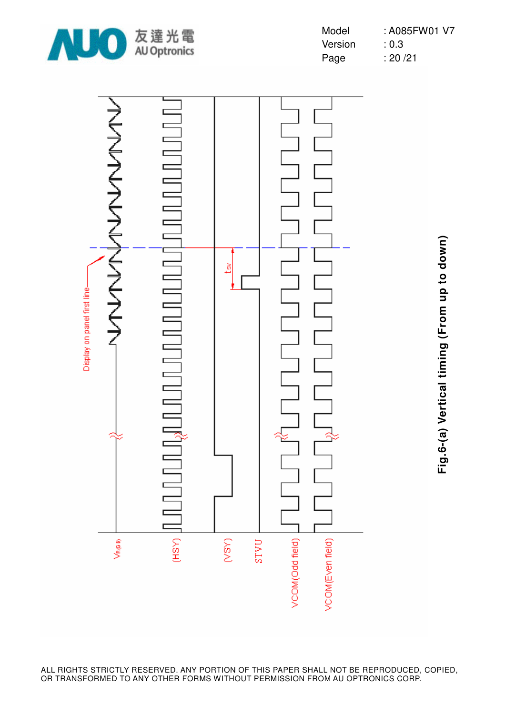